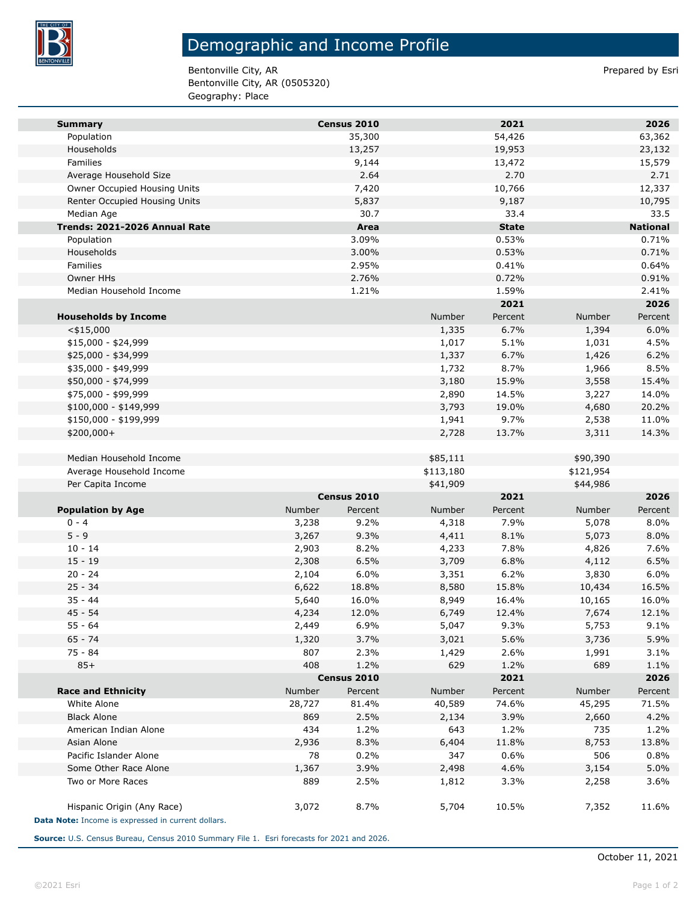

## Demographic and Income Profile

Bentonville City, AR Prepared by Esri Bentonville City, AR (0505320) Geography: Place

| <b>Summary</b>                                     |        | Census 2010 |           | 2021         |           | 2026            |
|----------------------------------------------------|--------|-------------|-----------|--------------|-----------|-----------------|
| Population                                         |        | 35,300      |           | 54,426       |           | 63,362          |
| Households                                         |        | 13,257      |           | 19,953       |           | 23,132          |
| Families                                           |        | 9,144       |           | 13,472       |           | 15,579          |
| Average Household Size                             |        | 2.64        |           | 2.70         |           | 2.71            |
| Owner Occupied Housing Units                       |        | 7,420       |           | 10,766       |           | 12,337          |
| Renter Occupied Housing Units                      |        | 5,837       |           | 9,187        |           | 10,795          |
| Median Age                                         |        | 30.7        |           | 33.4         |           | 33.5            |
| Trends: 2021-2026 Annual Rate                      |        | Area        |           | <b>State</b> |           | <b>National</b> |
| Population                                         |        | 3.09%       |           | 0.53%        |           | 0.71%           |
| Households                                         |        | 3.00%       |           | 0.53%        |           | 0.71%           |
| Families                                           |        | 2.95%       |           | 0.41%        |           | 0.64%           |
| <b>Owner HHs</b>                                   |        | 2.76%       |           | 0.72%        |           | 0.91%           |
| Median Household Income                            |        | 1.21%       |           | 1.59%        |           | 2.41%           |
|                                                    |        |             |           | 2021         |           | 2026            |
| <b>Households by Income</b>                        |        |             | Number    | Percent      | Number    | Percent         |
| $<$ \$15,000                                       |        |             | 1,335     | 6.7%         | 1,394     | 6.0%            |
| $$15,000 - $24,999$                                |        |             | 1,017     | 5.1%         | 1,031     | 4.5%            |
| \$25,000 - \$34,999                                |        |             | 1,337     | 6.7%         | 1,426     | 6.2%            |
| \$35,000 - \$49,999                                |        |             | 1,732     | 8.7%         | 1,966     | 8.5%            |
| \$50,000 - \$74,999                                |        |             | 3,180     | 15.9%        | 3,558     | 15.4%           |
| \$75,000 - \$99,999                                |        |             | 2,890     | 14.5%        | 3,227     | 14.0%           |
| \$100,000 - \$149,999                              |        |             | 3,793     | 19.0%        | 4,680     | 20.2%           |
| \$150,000 - \$199,999                              |        |             | 1,941     | 9.7%         | 2,538     | 11.0%           |
| \$200,000+                                         |        |             | 2,728     | 13.7%        | 3,311     | 14.3%           |
|                                                    |        |             |           |              |           |                 |
| Median Household Income                            |        |             | \$85,111  |              | \$90,390  |                 |
| Average Household Income                           |        |             | \$113,180 |              | \$121,954 |                 |
| Per Capita Income                                  |        | Census 2010 | \$41,909  | 2021         | \$44,986  | 2026            |
| <b>Population by Age</b>                           | Number | Percent     | Number    | Percent      | Number    | Percent         |
| $0 - 4$                                            | 3,238  | 9.2%        | 4,318     | 7.9%         | 5,078     | 8.0%            |
| $5 - 9$                                            | 3,267  | 9.3%        | 4,411     | 8.1%         | 5,073     | 8.0%            |
| $10 - 14$                                          | 2,903  | 8.2%        | 4,233     | 7.8%         | 4,826     | 7.6%            |
| $15 - 19$                                          | 2,308  | 6.5%        | 3,709     | 6.8%         | 4,112     | 6.5%            |
| $20 - 24$                                          | 2,104  | 6.0%        | 3,351     | 6.2%         | 3,830     | 6.0%            |
| $25 - 34$                                          | 6,622  | 18.8%       | 8,580     | 15.8%        | 10,434    | 16.5%           |
| $35 - 44$                                          | 5,640  | 16.0%       | 8,949     | 16.4%        | 10,165    | 16.0%           |
| 45 - 54                                            | 4,234  | 12.0%       | 6,749     | 12.4%        | 7,674     | 12.1%           |
| $55 - 64$                                          | 2,449  | 6.9%        | 5,047     | 9.3%         | 5,753     | 9.1%            |
| $65 - 74$                                          | 1,320  | 3.7%        | 3,021     | 5.6%         | 3,736     | 5.9%            |
| 75 - 84                                            | 807    | 2.3%        | 1,429     | 2.6%         | 1,991     | 3.1%            |
| $85+$                                              | 408    | 1.2%        | 629       | 1.2%         | 689       | 1.1%            |
|                                                    |        | Census 2010 |           | 2021         |           | 2026            |
| <b>Race and Ethnicity</b>                          | Number | Percent     | Number    | Percent      | Number    | Percent         |
| White Alone                                        | 28,727 | 81.4%       | 40,589    | 74.6%        | 45,295    | 71.5%           |
| <b>Black Alone</b>                                 | 869    | 2.5%        | 2,134     | 3.9%         | 2,660     | 4.2%            |
| American Indian Alone                              | 434    | 1.2%        | 643       | 1.2%         | 735       | 1.2%            |
| Asian Alone                                        | 2,936  | 8.3%        | 6,404     | 11.8%        | 8,753     | 13.8%           |
| Pacific Islander Alone                             | 78     | 0.2%        | 347       | 0.6%         | 506       | 0.8%            |
| Some Other Race Alone                              | 1,367  | 3.9%        | 2,498     | 4.6%         | 3,154     | 5.0%            |
| Two or More Races                                  | 889    | 2.5%        | 1,812     | 3.3%         | 2,258     | 3.6%            |
| Hispanic Origin (Any Race)                         | 3,072  | 8.7%        | 5,704     | 10.5%        | 7,352     | 11.6%           |
| Data Note: Income is expressed in current dollars. |        |             |           |              |           |                 |

**Source:** U.S. Census Bureau, Census 2010 Summary File 1. Esri forecasts for 2021 and 2026.